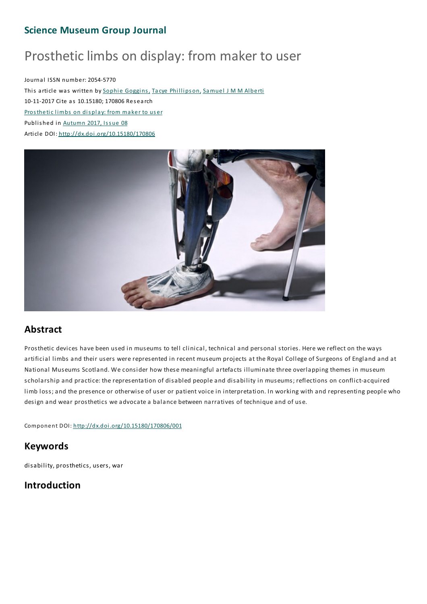# **Science Museum Group Journal**

# Prosthetic limbs on display: from maker to user

Journal ISSN number: 2054-5770 This article was written by Sophie Goggins, Tacye Phillipson, Samuel J M M Alberti 10-11-2017 Cite as 10.15180; 170806 Res earch Prosthetic limbs on display: from maker to user Published in Autumn 2017, Issue 08 Article DOI: http://dx.doi.org/10.15180/170806



# **Abstract**

Prosthetic devices have been used in museums to tell clinical, technical and personal stories. Here we reflect on the ways artificial limbs and their users were represented in recent museum projects at the Royal College of Surgeons of England and at National Museums Scotland. We consider how these meaningful artefacts illuminate three overlapping themes in museum scholarship and practice: the representation of disabled people and disability in museums; reflections on conflict-acquired limb loss;and the presence or otherwise of user or patient voice in interpretation. In working with and representing people who design and wear prosthetics we advocate a balance between narratives of technique and of use.

Component DOI: http://dx.doi.org/10.15180/170806/001

# **Keywords**

disability, prosthetics, users, war

# **Introduction**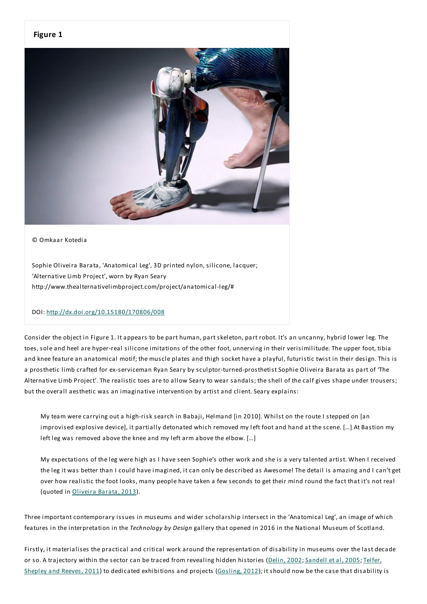#### **Figure 1**



#### © Omkaar Kotedia

Sophie Oliveira Barata, 'Anatomical Leg', 3D printed nylon, silicone, lacquer; 'Alternative Limb Project', worn by Ryan Seary http://www.thealternativelimbproject.com/project/anatomical-leg/#

#### DOI: http://dx.doi.org/10.15180/170806/008

Consider the object in Figure 1. It appears to be part human, part skeleton, part robot. It's an uncanny, hybrid lower leg.The toes, sole and heel are hyper-real silicone imitations of the other foot, unnerving in their verisimilitude.The upper foot, tibia and knee feature an anatomical motif; the muscle plates and thigh socket have a playful, futuristic twist in their design.This is a prosthetic limb crafted for ex-serviceman Ryan Seary by sculptor-turned-prosthetist Sophie Oliveira Barata as part of 'The Alternative Limb Project'.The realistic toes are to allow Seary to wear sandals; the shell of the calf gives shape under trousers; but the overall aesthetic was an imaginative intervention by artist and client. Seary explains:

My team were carrying out a high-risk search in Babaji, Helmand [in 2010]. Whilst on the route I stepped on [an improvised explosive device], it partially detonated which removed my left foot and hand at the scene. […] At Bastion my left leg was removed above the knee and my left arm above the elbow. […]

My expectations of the leg were high as I have seen Sophie's other work and she is a very talented artist. When I received the leg it was better than I could have imagined, it can only be described as Awesome! The detail is amazing and I can't get over how realistic the foot looks, many people have taken a few seconds to get their mind round the fact that it's not real (quoted in Oliveira Barata, 2013).

Three important contemporary issues in museums and wider scholarship intersect in the 'Anatomical Leg', an image of which features in the interpretation in the *Technology by Design* gallery that opened in 2016 in the National Museum of Scotland.

Firstly, it materialises the practical and critical work around the representation of disability in museums over the last decade or so. A trajectory within the sector can be traced from revealing hidden histories (Delin, 2002; Sandell et al, 2005; Telfer, Shepley and Reeves, 2011) to dedicated exhibitions and projects (Gosling, 2012); it should now be the case that disability is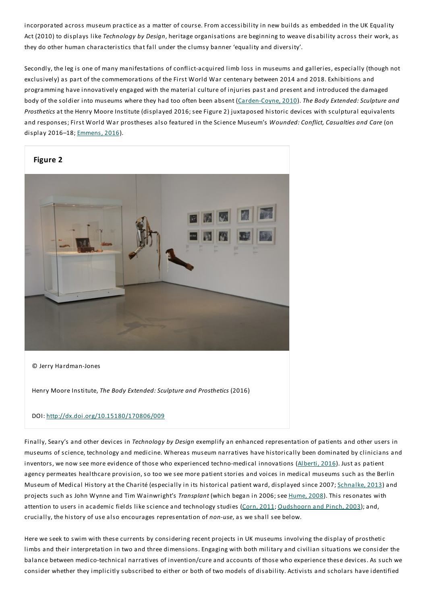incorporated across museum practice as a matter of course. From accessibility in new builds as embedded in the UK Equality Act (2010) to displays like *Technology by Design*, heritage organisations are beginning to weave disability across their work, as they do other human characteristics that fall under the clumsy banner 'equality and diversity'.

Secondly, the leg is one of many manifestations of conflict-acquired limb loss in museums and galleries, especially (though not exclusively) as part of the commemorations of the First World War centenary between 2014 and 2018. Exhibitions and programming have innovatively engaged with the material culture of injuries past and present and introduced the damaged body of the soldier into museums where they had too often been absent (Carden-Coyne, 2010).*The Body Extended:Sculpture and Prosthetics* at the Henry Moore Institute (displayed 2016; see Figure 2) juxtaposed historic devices with sculptural equivalents and responses;First World War prostheses also featured in the Science Museum's *Wounded: Conflict, Casualties and Care* (on display 2016–18;Emmens, 2016).



© Jerry Hardman-Jones

Henry Moore Institute,*The Body Extended:Sculpture and Prosthetics* (2016)

#### DOI: http://dx.doi.org/10.15180/170806/009

Finally, Seary's and other devices in *Technology by Design* exemplify an enhanced representation of patients and other users in museums of science, technology and medicine. Whereas museum narratives have historically been dominated by clinicians and inventors, we now see more evidence of those who experienced techno-medical innovations (Alberti, 2016). Just as patient agency permeates healthcare provision, so too we see more patient stories and voices in medical museums such as the Berlin Museum of Medical History at the Charité (especially in its historical patient ward, displayed since 2007; Schnalke, 2013) and projects such as John Wynne and Tim Wainwright's *Transplant* (which began in 2006; see Hume, 2008).This resonates with attention to users in academic fields like science and technology studies (Corn, 2011; Oudshoorn and Pinch, 2003); and, crucially, the history of use also encourages representation of *non-use*, as we shall see below.

Here we seek to swim with these currents by considering recent projects in UK museums involving the display of prosthetic limbs and their interpretation in two and three dimensions.Engaging with both military and civilian situations we consider the balance between medico-technical narratives of invention/cure and accounts of those who experience these devices. As such we consider whether they implicitly subscribed to either or both of two models of disability. Activists and scholars have identified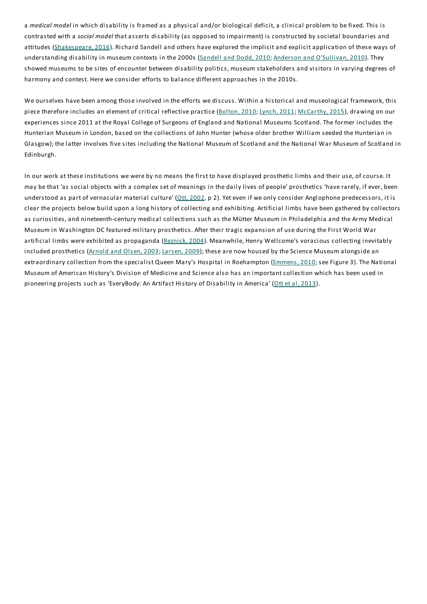a *medical model* in which disability is framed as a physical and/or biological deficit, a clinical problem to be fixed.This is contrasted with a *social model* that asserts disability (as opposed to impairment) is constructed by societal boundaries and attitudes (Shakespeare, 2016). Richard Sandell and others have explored the implicit and explicit application of these ways of understanding disability in museum contexts in the 2000s (Sandell and Dodd, 2010; Anderson and O'Sullivan, 2010). They showed museums to be sites of encounter between disability politics, museum stakeholders and visitors in varying degrees of harmony and contest. Here we consider efforts to balance different approaches in the 2010s.

We ourselves have been among those involved in the efforts we discuss. Within a historical and museological framework, this piece therefore includes an element of critical reflective practice (Bolton, 2010; Lynch, 2011; McCarthy, 2015), drawing on our experiences since 2011 at the Royal College of Surgeons of England and National Museums Scotland.The former includes the Hunterian Museum in London, based on the collections of John Hunter (whose older brother William seeded the Hunterian in Glasgow); the latter involves five sites including the National Museum of Scotland and the National War Museum of Scotland in Edinburgh.

In our work at these institutions we were by no means the first to have displayed prosthetic limbs and their use, of course. It may be that 'as social objects with a complex set of meanings in the daily lives of people' prosthetics 'have rarely, if ever, been understood as part of vernacular material culture' (Ott, 2002, p 2). Yet even if we only consider Anglophone predecessors, it is clear the projects below build upon a long history of collecting and exhibiting. Artificial limbs have been gathered by collectors as curiosities, and nineteenth-century medical collections such as the Mütter Museum in Philadelphia and the Army Medical Museum in Washington DC featured military prosthetics. After their tragic expansion of use during the First World War artificial limbs were exhibited as propaganda (Reznick, 2004). Meanwhile, Henry Wellcome's voracious collecting inevitably included prosthetics (Arnold and Olsen, 2003; Larsen, 2009); these are now housed by the Science Museum alongside an extraordinary collection from the specialist Queen Mary's Hospital in Roehampton (Emmens, 2010; see Figure 3). The National Museum of American History's Division of Medicine and Science also has an important collection which has been used in pioneering projects such as 'EveryBody: An Artifact History of Disability in America' (Ott et al, 2013).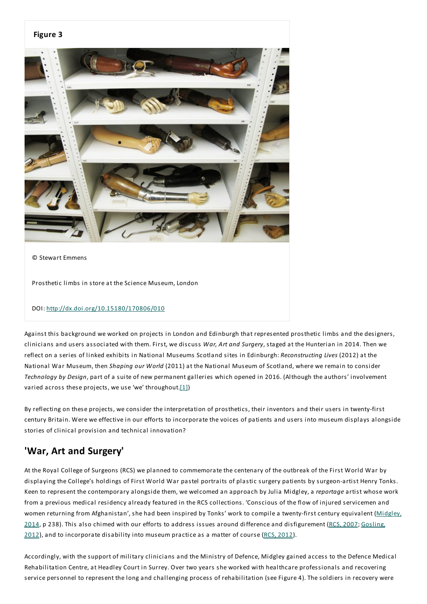

Against this background we worked on projects in London and Edinburgh that represented prosthetic limbs and the designers, clinicians and users associated with them. First, we discuss *War, Art and Surgery*, staged at the Hunterian in 2014.Then we reflect on a series of linked exhibits in National Museums Scotland sites in Edinburgh: *Reconstructing Lives* (2012) at the National War Museum, then *Shaping our World* (2011) at the National Museum of Scotland, where we remain to consider *Technology by Design*, part of a suite of new permanent galleries which opened in 2016. (Although the authors' involvement varied across these projects, we use 'we' throughout. $[1]$ )

By reflecting on these projects, we consider the interpretation of prosthetics, their inventors and their users in twenty-first century Britain. Were we effective in our efforts to incorporate the voices of patients and users into museum displays alongside stories of clinical provision and technical innovation?

# **'War, Art and Surgery'**

At the Royal College of Surgeons (RCS) we planned to commemorate the centenary of the outbreak of the First World War by displaying the College's holdings of First World War pastel portraits of plastic surgery patients by surgeon-artist Henry Tonks. Keen to represent the contemporary alongside them, we welcomed an approach by Julia Midgley, a *reportage* artist whose work from a previous medical residency already featured in the RCS collections. 'Conscious of the flow of injured servicemen and women returning from Afghanistan', she had been inspired by Tonks' work to compile a twenty-first century equivalent (Midgley, 2014, p 238). This also chimed with our efforts to address issues around difference and disfigurement (RCS, 2007; Gosling, 2012), and to incorporate disability into museum practice as a matter of course (RCS, 2012).

Accordingly, with the support of military clinicians and the Ministry of Defence, Midgley gained access to the Defence Medical Rehabilitation Centre, at Headley Court in Surrey. Over two years she worked with healthcare professionals and recovering service personnel to represent the long and challenging process of rehabilitation (see Figure 4). The soldiers in recovery were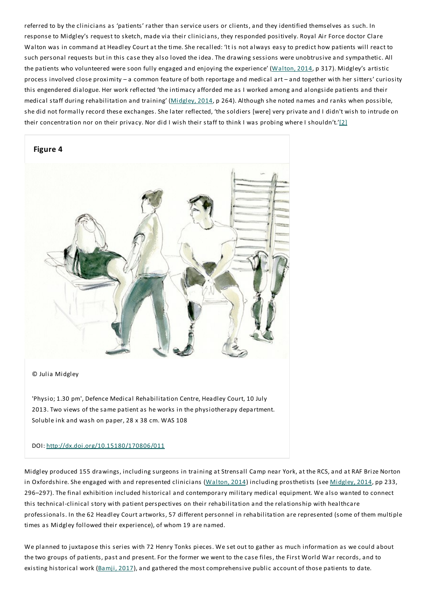referred to by the clinicians as 'patients' rather than service users or clients, and they identified themselves as such. In response to Midgley's request to sketch, made via their clinicians, they responded positively. Royal Air Force doctor Clare Walton was in command at Headley Court at the time. She recalled: 'It is not always easy to predict how patients will react to such personal requests but in this case they also loved the idea.The drawing sessions were unobtrusive and sympathetic. All the patients who volunteered were soon fully engaged and enjoying the experience' (Walton, 2014, p 317). Midgley's artistic process involved close proximity – a common feature of both reportage and medical art – and together with her sitters' curiosity this engendered dialogue. Her work reflected 'the intimacy afforded me as I worked among and alongside patients and their medical staff during rehabilitation and training' (Midgley, 2014, p 264). Although she noted names and ranks when possible, she did not formally record these exchanges. She later reflected, 'the soldiers [were] very private and I didn't wish to intrude on their concentration nor on their privacy. Nor did I wish their staff to think I was probing where I shouldn't.'[2]



#### © Julia Midgley

'Physio; 1.30 pm', Defence Medical Rehabilitation Centre, Headley Court, 10 July 2013.Two views of the same patient as he works in the physiotherapy department. Soluble ink and wash on paper, 28 x 38 cm. WAS 108

#### DOI: http://dx.doi.org/10.15180/170806/011

Midgley produced 155 drawings, including surgeons in training at Strensall Camp near York, at the RCS, and at RAF Brize Norton in Oxfordshire. She engaged with and represented clinicians (Walton, 2014) including prosthetists (see Midgley, 2014, pp 233, 296–297).The final exhibition included historical and contemporary military medical equipment. We also wanted to connect this technical-clinical story with patient perspectives on their rehabilitation and the relationship with healthcare professionals. In the 62 Headley Court artworks, 57 different personnel in rehabilitation are represented (some of them multiple times as Midgley followed their experience), of whom 19 are named.

We planned to juxtapose this series with 72 Henry Tonks pieces. We set out to gather as much information as we could about the two groups of patients, past and present. For the former we went to the case files, the First World War records, and to existing historical work (Bamji, 2017), and gathered the most comprehensive public account of those patients to date.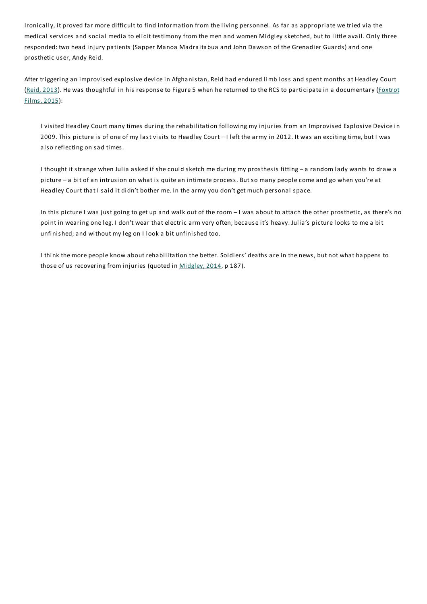Ironically, it proved far more difficult to find information from the living personnel. As far as appropriate we tried via the medical services and social media to elicit testimony from the men and women Midgley sketched, but to little avail. Only three responded: two head injury patients (Sapper Manoa Madraitabua and John Dawson of the Grenadier Guards) and one prosthetic user, Andy Reid.

After triggering an improvised explosive device in Afghanistan, Reid had endured limb loss and spent months at Headley Court (Reid, 2013). He was thoughtful in his response to Figure 5 when he returned to the RCS to participate in a documentary (Foxtrot Films, 2015):

I visited Headley Court many times during the rehabilitation following my injuries from an Improvised Explosive Device in 2009.This picture is of one of my last visits to Headley Court – I left the army in 2012. It was an exciting time, but I was also reflecting on sad times.

I thought it strange when Julia asked if she could sketch me during my prosthesis fitting – a random lady wants to draw a picture – a bit of an intrusion on what is quite an intimate process. But so many people come and go when you're at Headley Court that I said it didn't bother me. In the army you don't get much personal space.

In this picture I was just going to get up and walk out of the room – I was about to attach the other prosthetic, as there's no point in wearing one leg. I don't wear that electric arm very often, because it's heavy. Julia's picture looks to me a bit unfinished;and without my leg on I look a bit unfinished too.

I think the more people know about rehabilitation the better. Soldiers' deaths are in the news, but not what happens to those of us recovering from injuries (quoted in Midgley, 2014, p 187).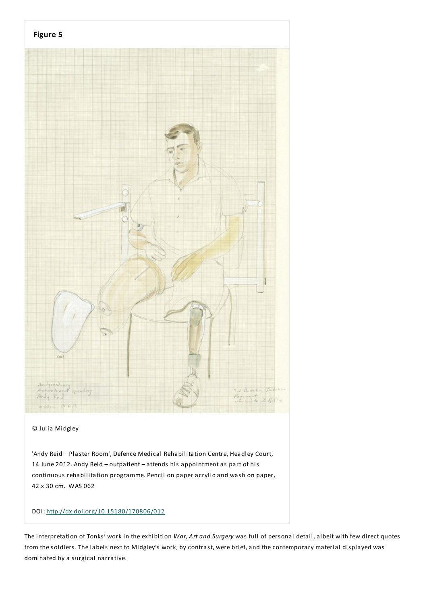

#### © Julia Midgley

'Andy Reid – Plaster Room', Defence Medical Rehabilitation Centre, Headley Court, 14 June 2012. Andy Reid – outpatient – attends his appointment as part of his continuous rehabilitation programme. Pencil on paper acrylic and wash on paper, 42 x 30 cm. WAS 062

#### DOI: http://dx.doi.org/10.15180/170806/012

The interpretation of Tonks' work in the exhibition *War, Art and Surgery* was full of personal detail, albeit with few direct quotes from the soldiers.The labels next to Midgley's work, by contrast, were brief, and the contemporary material displayed was dominated by a surgical narrative.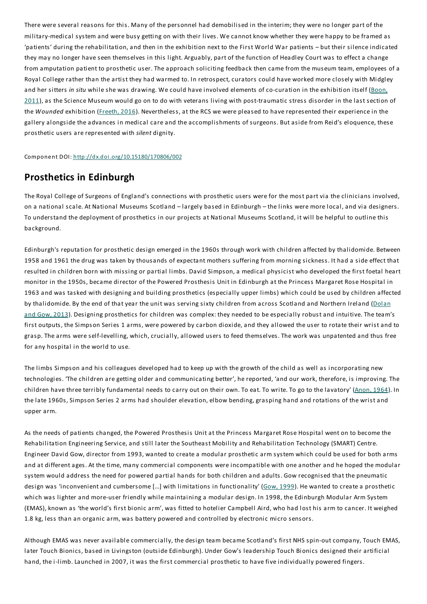There were several reasons for this. Many of the personnel had demobilised in the interim; they were no longer part of the military-medical system and were busy getting on with their lives. We cannot know whether they were happy to be framed as 'patients' during the rehabilitation, and then in the exhibition next to the First World War patients – but their silence indicated they may no longer have seen themselves in this light. Arguably, part of the function of Headley Court was to effect a change from amputation patient to prosthetic user. The approach soliciting feedback then came from the museum team, employees of a Royal College rather than the artist they had warmed to. In retrospect, curators could have worked more closely with Midgley and her sitters *in situ* while she was drawing. We could have involved elements of co-curation in the exhibition itself (Boon, 2011), as the Science Museum would go on to do with veterans living with post-traumatic stress disorder in the last section of the *Wounded* exhibition (Freeth, 2016). Nevertheless, at the RCS we were pleased to have represented their experience in the gallery alongside the advances in medical care and the accomplishments of surgeons. But aside from Reid's eloquence, these prosthetic users are represented with *silent* dignity.

Component DOI: http://dx.doi.org/10.15180/170806/002

## **Prosthetics in Edinburgh**

The Royal College of Surgeons of England's connections with prosthetic users were for the most part via the clinicians involved, on a national scale. At National Museums Scotland – largely based in Edinburgh – the links were more local, and via designers. To understand the deployment of prosthetics in our projects at National Museums Scotland, it will be helpful to outline this background.

Edinburgh's reputation for prosthetic design emerged in the 1960s through work with children affected by thalidomide. Between 1958 and 1961 the drug was taken by thousands of expectant mothers suffering from morning sickness. It had a side effect that resulted in children born with missing or partial limbs. David Simpson, a medical physicist who developed the first foetal heart monitor in the 1950s, became director of the Powered Prosthesis Unit in Edinburgh at the Princess Margaret Rose Hospital in 1963 and was tasked with designing and building prosthetics (especially upper limbs) which could be used by children affected by thalidomide. By the end of that year the unit was serving sixty children from across Scotland and Northern Ireland (Dolan and Gow, 2013). Designing prosthetics for children was complex: they needed to be especially robust and intuitive. The team's first outputs, the Simpson Series 1 arms, were powered by carbon dioxide, and they allowed the user to rotate their wrist and to grasp.The arms were self-levelling, which, crucially, allowed users to feed themselves.The work was unpatented and thus free for any hospital in the world to use.

The limbs Simpson and his colleagues developed had to keep up with the growth of the child as well as incorporating new technologies. 'The children are getting older and communicating better', he reported, 'and our work, therefore, is improving.The children have three terribly fundamental needs to carry out on their own. To eat. To write. To go to the lavatory' (Anon, 1964). In the late 1960s, Simpson Series 2 arms had shoulder elevation, elbow bending, grasping hand and rotations of the wrist and upper arm.

As the needs of patients changed, the Powered Prosthesis Unit at the Princess Margaret Rose Hospital went on to become the Rehabilitation Engineering Service, and still later the Southeast Mobility and Rehabilitation Technology (SMART) Centre. Engineer David Gow, director from 1993, wanted to create a modular prosthetic arm system which could be used for both arms and at different ages. At the time, many commercial components were incompatible with one another and he hoped the modular system would address the need for powered partial hands for both children and adults. Gow recognised that the pneumatic design was 'inconvenient and cumbersome [...] with limitations in functionality' (Gow, 1999). He wanted to create a prosthetic which was lighter and more-user friendly while maintaining a modular design. In 1998, the Edinburgh Modular Arm System (EMAS), known as 'the world's first bionic arm', was fitted to hotelier Campbell Aird, who had lost his arm to cancer. It weighed 1.8 kg, less than an organic arm, was battery powered and controlled by electronic micro sensors.

Although EMAS was never available commercially, the design team became Scotland's first NHS spin-out company,Touch EMAS, later Touch Bionics, based in Livingston (outside Edinburgh). Under Gow's leadership Touch Bionics designed their artificial hand, the i-limb. Launched in 2007, it was the first commercial prosthetic to have five individually powered fingers.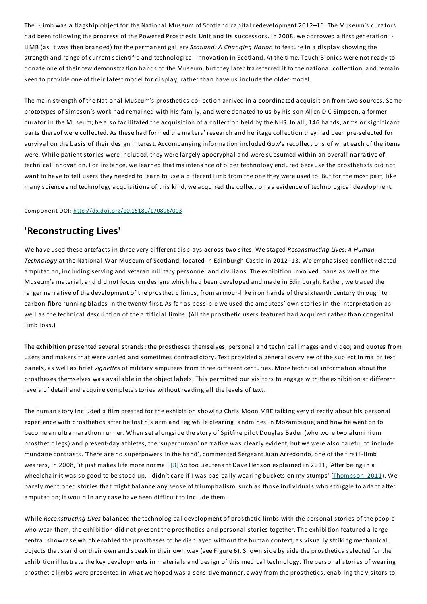The i-limb was a flagship object for the National Museum of Scotland capital redevelopment 2012–16.The Museum's curators had been following the progress of the Powered Prosthesis Unit and its successors. In 2008, we borrowed a first generation i-LIMB (as it was then branded) for the permanent gallery *Scotland: A Changing Nation* to feature in a display showing the strength and range of current scientific and technological innovation in Scotland. At the time, Touch Bionics were not ready to donate one of their few demonstration hands to the Museum, but they later transferred it to the national collection, and remain keen to provide one of their latest model for display, rather than have us include the older model.

The main strength of the National Museum's prosthetics collection arrived in a coordinated acquisition from two sources. Some prototypes of Simpson's work had remained with his family, and were donated to us by his son Allen D C Simpson, a former curator in the Museum; he also facilitated the acquisition of a collection held by the NHS. In all, 146 hands, arms or significant parts thereof were collected. As these had formed the makers' research and heritage collection they had been pre-selected for survival on the basis of their design interest. Accompanying information included Gow's recollections of what each of the items were. While patient stories were included, they were largely apocryphal and were subsumed within an overall narrative of technical innovation. For instance, we learned that maintenance of older technology endured because the prosthetists did not want to have to tell users they needed to learn to use a different limb from the one they were used to. But for the most part, like many science and technology acquisitions of this kind, we acquired the collection as evidence of technological development.

#### Component DOI: http://dx.doi.org/10.15180/170806/003

#### **'Reconstructing Lives'**

We have used these artefacts in three very different displays across two sites. We staged *Reconstructing Lives: A Human Technology* at the National War Museum of Scotland, located in Edinburgh Castle in 2012–13. We emphasised conflict-related amputation, including serving and veteran military personnel and civilians.The exhibition involved loans as well as the Museum's material, and did not focus on designs which had been developed and made in Edinburgh. Rather, we traced the larger narrative of the development of the prosthetic limbs, from armour-like iron hands of the sixteenth century through to carbon-fibre running blades in the twenty-first. As far as possible we used the amputees' own stories in the interpretation as well as the technical description of the artificial limbs. (All the prosthetic users featured had acquired rather than congenital limb loss.)

The exhibition presented several strands: the prostheses themselves; personal and technical images and video;and quotes from users and makers that were varied and sometimes contradictory.Text provided a general overview of the subject in major text panels, as well as brief *vignettes* of military amputees from three different centuries. More technical information about the prostheses themselves was available in the object labels.This permitted our visitors to engage with the exhibition at different levels of detail and acquire complete stories without reading all the levels of text.

The human story included a film created for the exhibition showing Chris Moon MBE talking very directly about his personal experience with prosthetics after he lost his arm and leg while clearing landmines in Mozambique, and how he went on to become an ultramarathon runner. When set alongside the story of Spitfire pilot Douglas Bader (who wore two aluminium prosthetic legs) and present-day athletes, the 'superhuman' narrative was clearly evident; but we were also careful to include mundane contrasts. 'There are no superpowers in the hand', commented Sergeant Juan Arredondo, one of the first i-limb wearers, in 2008, 'it just makes life more normal'.[3] So too Lieutenant Dave Henson explained in 2011, 'After being in a wheelchair it was so good to be stood up. I didn't care if I was basically wearing buckets on my stumps' (Thompson, 2011). We barely mentioned stories that might balance any sense of triumphalism, such as those individuals who struggle to adapt after amputation; it would in any case have been difficult to include them.

While *Reconstructing Lives* balanced the technological development of prosthetic limbs with the personal stories of the people who wear them, the exhibition did not present the prosthetics and personal stories together. The exhibition featured a large central showcase which enabled the prostheses to be displayed without the human context, as visually striking mechanical objects that stand on their own and speak in their own way (see Figure 6). Shown side by side the prosthetics selected for the exhibition illustrate the key developments in materials and design of this medical technology.The personal stories of wearing prosthetic limbs were presented in what we hoped was a sensitive manner, away from the prosthetics, enabling the visitors to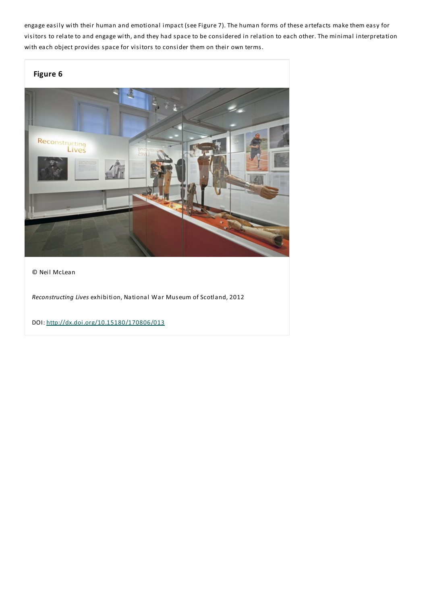engage easily with their human and emotional impact (see Figure 7).The human forms of these artefacts make them easy for visitors to relate to and engage with, and they had space to be considered in relation to each other.The minimal interpretation with each object provides space for visitors to consider them on their own terms.



© Neil McLean

*Reconstructing Lives* exhibition, National War Museum of Scotland, 2012

DOI: http://dx.doi.org/10.15180/170806/013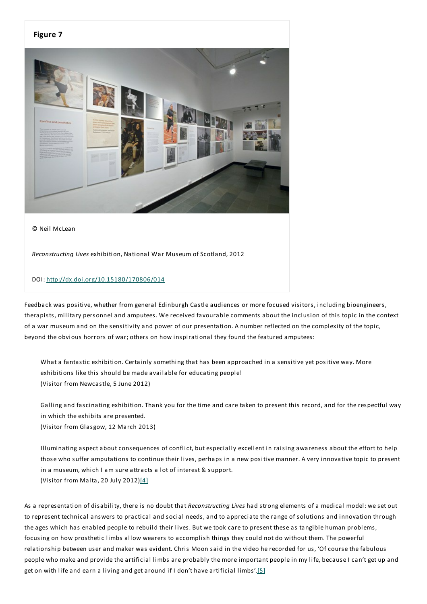# **Figure 7**

© Neil McLean

*Reconstructing Lives* exhibition, National War Museum of Scotland, 2012

#### DOI: http://dx.doi.org/10.15180/170806/014

Feedback was positive, whether from general Edinburgh Castle audiences or more focused visitors, including bioengineers, therapists, military personnel and amputees. We received favourable comments about the inclusion of this topic in the context of a war museum and on the sensitivity and power of our presentation. A number reflected on the complexity of the topic, beyond the obvious horrors of war; others on how inspirational they found the featured amputees:

What a fantastic exhibition. Certainly something that has been approached in a sensitive yet positive way. More exhibitions like this should be made available for educating people! (Visitor from Newcastle, 5 June 2012)

Galling and fascinating exhibition.Thank you for the time and care taken to present this record, and for the respectful way in which the exhibits are presented.

(Visitor from Glasgow, 12 March 2013)

Illuminating aspect about consequences of conflict, but especially excellent in raising awareness about the effort to help those who suffer amputations to continue their lives, perhaps in a new positive manner. A very innovative topic to present in a museum, which I am sure attracts a lot of interest & support.

(Visitor from Malta, 20 July 2012)[4]

As a representation of disability, there is no doubt that *Reconstructing Lives* had strong elements of a medical model: we set out to represent technical answers to practical and social needs, and to appreciate the range of solutions and innovation through the ages which has enabled people to rebuild their lives. But we took care to present these as tangible human problems, focusing on how prosthetic limbs allow wearers to accomplish things they could not do without them.The powerful relationship between user and maker was evident. Chris Moon said in the video he recorded for us, 'Of course the fabulous people who make and provide the artificial limbs are probably the more important people in my life, because I can't get up and get on with life and earn a living and get around if I don't have artificial limbs'.[5]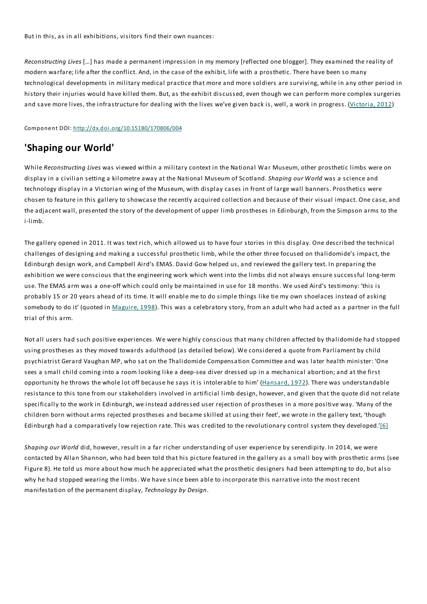But in this, as in all exhibitions, visitors find their own nuances:

*Reconstructing Lives* […] has made a permanent impression in my memory [reflected one blogger].They examined the reality of modern warfare; life after the conflict. And, in the case of the exhibit, life with a prosthetic.There have been so many technological developments in military medical practice that more and more soldiers are surviving, while in any other period in history their injuries would have killed them. But, as the exhibit discussed, even though we can perform more complex surgeries and save more lives, the infrastructure for dealing with the lives we've given back is, well, a work in progress. (Victoria, 2012)

Component DOI: http://dx.doi.org/10.15180/170806/004

# **'Shaping our World'**

While *Reconstructing Lives* was viewed within a military context in the National War Museum, other prosthetic limbs were on display in a civilian setting a kilometre away at the National Museum of Scotland. *Shaping our World* was a science and technology display in a Victorian wing of the Museum, with display cases in front of large wall banners. Prosthetics were chosen to feature in this gallery to showcase the recently acquired collection and because of their visual impact. One case, and the adjacent wall, presented the story of the development of upper limb prostheses in Edinburgh, from the Simpson arms to the i-limb.

The gallery opened in 2011. It was text rich, which allowed us to have four stories in this display. One described the technical challenges of designing and making a successful prosthetic limb, while the other three focused on thalidomide's impact, the Edinburgh design work, and Campbell Aird's EMAS. David Gow helped us, and reviewed the gallery text. In preparing the exhibition we were conscious that the engineering work which went into the limbs did not always ensure successful long-term use.The EMAS arm was a one-off which could only be maintained in use for 18 months. We used Aird's testimony: 'this is probably 15 or 20 years ahead of its time. It will enable me to do simple things like tie my own shoelaces instead of asking somebody to do it' (quoted in Maguire, 1998). This was a celebratory story, from an adult who had acted as a partner in the full trial of this arm.

Not all users had such positive experiences. We were highly conscious that many children affected by thalidomide had stopped using prostheses as they moved towards adulthood (as detailed below). We considered a quote from Parliament by child psychiatrist Gerard Vaughan MP, who sat on the Thalidomide Compensation Committee and was later health minister: 'One sees a small child coming into a room looking like a deep-sea diver dressed up in a mechanical abortion;and at the first opportunity he throws the whole lot off because he says it is intolerable to him' (Hansard, 1972). There was understandable resistance to this tone from our stakeholders involved in artificial limb design, however, and given that the quote did not relate specifically to the work in Edinburgh, we instead addressed user rejection of prostheses in a more positive way. 'Many of the children born without arms rejected prostheses and became skilled at using their feet', we wrote in the gallery text, 'though Edinburgh had a comparatively low rejection rate. This was credited to the revolutionary control system they developed.'[6]

*Shaping our World* did, however, result in a far richer understanding of user experience by serendipity. In 2014, we were contacted by Allan Shannon, who had been told that his picture featured in the gallery as a small boy with prosthetic arms (see Figure 8). He told us more about how much he appreciated what the prosthetic designers had been attempting to do, but also why he had stopped wearing the limbs. We have since been able to incorporate this narrative into the most recent manifestation of the permanent display,*Technology by Design*.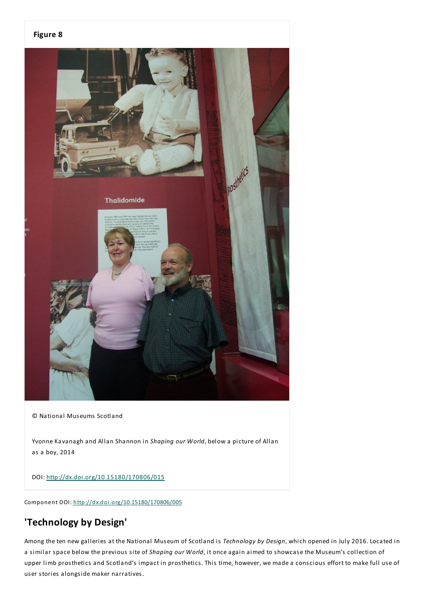#### **Figure 8**



© National Museums Scotland

Yvonne Kavanagh and Allan Shannon in *Shaping our World*, below a picture of Allan as a boy, 2014

DOI: http://dx.doi.org/10.15180/170806/015

Component DOI: http://dx.doi.org/10.15180/170806/005

# **'Technology by Design'**

Among the ten new galleries at the National Museum of Scotland is *Technology by Design*, which opened in July 2016. Located in a similar space below the previous site of *Shaping our World*, it once again aimed to showcase the Museum's collection of upper limb prosthetics and Scotland's impact in prosthetics.This time, however, we made a conscious effort to make full use of user stories alongside maker narratives.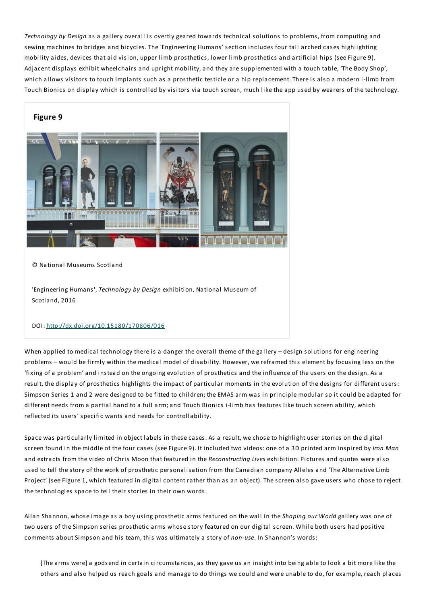*Technology by Design* as a gallery overall is overtly geared towards technical solutions to problems, from computing and sewing machines to bridges and bicycles.The 'Engineering Humans' section includes four tall arched cases highlighting mobility aides, devices that aid vision, upper limb prosthetics, lower limb prosthetics and artificial hips (see Figure 9). Adjacent displays exhibit wheelchairs and upright mobility, and they are supplemented with a touch table, 'The Body Shop', which allows visitors to touch implants such as a prosthetic testicle or a hip replacement. There is also a modern i-limb from Touch Bionics on display which is controlled by visitors via touch screen, much like the app used by wearers of the technology.



© National Museums Scotland

'Engineering Humans',*Technology by Design* exhibition, National Museum of Scotland, 2016

#### DOI: http://dx.doi.org/10.15180/170806/016

When applied to medical technology there is a danger the overall theme of the gallery - design solutions for engineering problems – would be firmly within the medical model of disability. However, we reframed this element by focusing less on the 'fixing of a problem' and instead on the ongoing evolution of prosthetics and the influence of the users on the design. As a result, the display of prosthetics highlights the impact of particular moments in the evolution of the designs for different users: Simpson Series 1 and 2 were designed to be fitted to children; the EMAS arm was in principle modular so it could be adapted for different needs from a partial hand to a full arm; and Touch Bionics i-limb has features like touch screen ability, which reflected its users' specific wants and needs for controllability.

Space was particularly limited in object labels in these cases. As a result, we chose to highlight user stories on the digital screen found in the middle of the four cases (see Figure 9). It included two videos: one of a 3D printed arm inspired by *Iron Man* and extracts from the video of Chris Moon that featured in the *Reconstructing Lives* exhibition. Pictures and quotes were also used to tell the story of the work of prosthetic personalisation from the Canadian company Alleles and 'The Alternative Limb Project' (see Figure 1, which featured in digital content rather than as an object).The screen also gave users who chose to reject the technologies space to tell their stories in their own words.

Allan Shannon, whose image as a boy using prosthetic arms featured on the wall in the *Shaping our World* gallery was one of two users of the Simpson series prosthetic arms whose story featured on our digital screen. While both users had positive comments about Simpson and his team, this was ultimately a story of *non-use*. In Shannon's words:

[The arms were] a godsend in certain circumstances, as they gave us an insight into being able to look a bit more like the others and also helped us reach goals and manage to do things we could and were unable to do, for example, reach places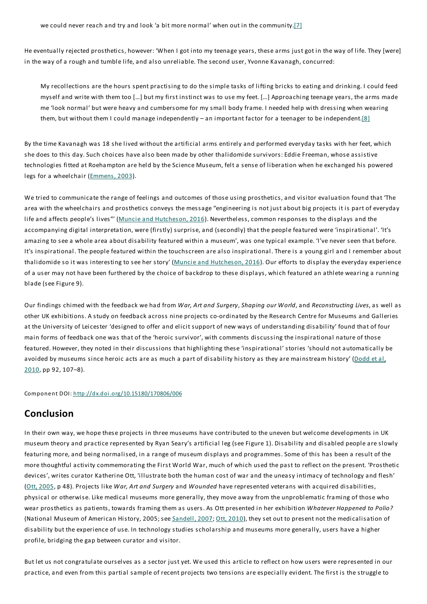He eventually rejected prosthetics, however: 'When I got into my teenage years, these arms just got in the way of life.They [were] in the way of a rough and tumble life, and also unreliable. The second user, Yvonne Kavanagh, concurred:

My recollections are the hours spent practising to do the simple tasks of lifting bricks to eating and drinking. I could feed myself and write with them too […] but my first instinct was to use my feet. […] Approaching teenage years, the arms made me 'look normal' but were heavy and cumbersome for my small body frame. I needed help with dressing when wearing them, but without them I could manage independently – an important factor for a teenager to be independent.[8]

By the time Kavanagh was 18 she lived without the artificial arms entirely and performed everyday tasks with her feet, which she does to this day. Such choices have also been made by other thalidomide survivors:Eddie Freeman, whose assistive technologies fitted at Roehampton are held by the Science Museum, felt a sense of liberation when he exchanged his powered legs for a wheelchair (Emmens, 2003).

We tried to communicate the range of feelings and outcomes of those using prosthetics, and visitor evaluation found that 'The area with the wheelchairs and prosthetics conveys the message "engineering is not just about big projects it is part of everyday life and affects people's lives"' (Muncie and Hutcheson, 2016). Nevertheless, common responses to the displays and the accompanying digital interpretation, were (firstly) surprise, and (secondly) that the people featured were 'inspirational'. 'It's amazing to see a whole area about disability featured within a museum', was one typical example. 'I've never seen that before. It's inspirational.The people featured within the touchscreen are also inspirational.There is a young girl and I remember about thalidomide so it was interesting to see her story' (Muncie and Hutcheson, 2016). Our efforts to display the everyday experience of a user may not have been furthered by the choice of backdrop to these displays, which featured an athlete wearing a running blade (see Figure 9).

Our findings chimed with the feedback we had from *War, Art and Surgery*, *Shaping our World*, and *Reconstructing Lives*, as well as other UK exhibitions. A study on feedback across nine projects co-ordinated by the Research Centre for Museums and Galleries at the University of Leicester 'designed to offer and elicit support of new ways of understanding disability' found that of four main forms of feedback one was that of the 'heroic survivor', with comments discussing the inspirational nature of those featured. However, they noted in their discussions that highlighting these 'inspirational' stories 'should not automatically be avoided by museums since heroic acts are as much a part of disability history as they are mainstream history' (Dodd et al, 2010, pp 92, 107–8).

Component DOI: http://dx.doi.org/10.15180/170806/006

# **Conclusion**

In their own way, we hope these projects in three museums have contributed to the uneven but welcome developments in UK museum theory and practice represented by Ryan Seary's artificial leg (see Figure 1). Disability and disabled people are slowly featuring more, and being normalised, in a range of museum displays and programmes. Some of this has been a result of the more thoughtful activity commemorating the First World War, much of which used the past to reflect on the present. 'Prosthetic devices', writes curator Katherine Ott, 'illustrate both the human cost of war and the uneasy intimacy of technology and flesh' (Ott, 2005, p 48). Projects like *War, Art and Surgery* and *Wounded* have represented veterans with acquired disabilities, physical or otherwise. Like medical museums more generally, they move away from the unproblematic framing of those who wear prosthetics as patients, towards framing them as users. As Ott presented in her exhibition *Whatever Happened to Polio?* (National Museum of American History, 2005; see Sandell, 2007; Ott, 2010), they set out to present not the medicalisation of disability but the experience of use. In technology studies scholarship and museums more generally, users have a higher profile, bridging the gap between curator and visitor.

But let us not congratulate ourselves as a sector just yet. We used this article to reflect on how users were represented in our practice, and even from this partial sample of recent projects two tensions are especially evident.The first is the struggle to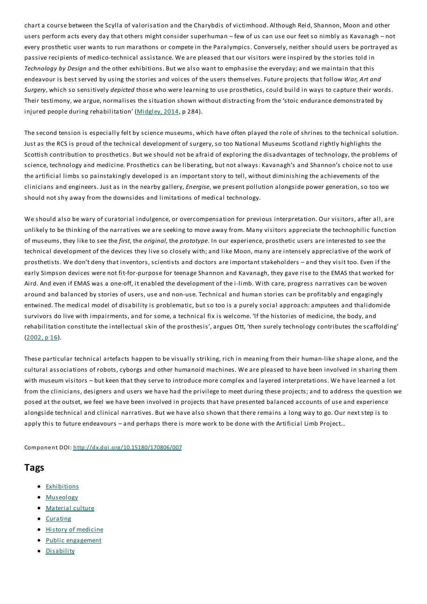chart a course between the Scylla of valorisation and the Charybdis of victimhood. Although Reid, Shannon, Moon and other users perform acts every day that others might consider superhuman – few of us can use our feet so nimbly as Kavanagh – not every prosthetic user wants to run marathons or compete in the Paralympics. Conversely, neither should users be portrayed as passive recipients of medico-technical assistance. We are pleased that our visitors were inspired by the stories told in *Technology by Design* and the other exhibitions. But we also want to emphasise the everyday;and we maintain that this endeavour is best served by using the stories and voices of the users themselves. Future projects that follow *War, Art and Surgery*, which so sensitively *depicted* those who were learning to use prosthetics, could build in ways to capture their words. Their testimony, we argue, normalises the situation shown without distracting from the 'stoic endurance demonstrated by injured people during rehabilitation' (Midgley, 2014, p 284).

The second tension is especially felt by science museums, which have often played the role of shrines to the technical solution. Just as the RCS is proud of the technical development of surgery, so too National Museums Scotland rightly highlights the Scottish contribution to prosthetics. But we should not be afraid of exploring the disadvantages of technology, the problems of science, technology and medicine. Prosthetics can be liberating, but not always: Kavanagh's and Shannon's choice not to use the artificial limbs so painstakingly developed is an important story to tell, without diminishing the achievements of the clinicians and engineers. Just as in the nearby gallery,*Energise*, we present pollution alongside power generation, so too we should not shy away from the downsides and limitations of medical technology.

We should also be wary of curatorial indulgence, or overcompensation for previous interpretation. Our visitors, after all, are unlikely to be thinking of the narratives we are seeking to move away from. Many visitors appreciate the technophilic function of museums, they like to see the *first*, the *original*, the *prototype*. In our experience, prosthetic users are interested to see the technical development of the devices they live so closely with;and like Moon, many are intensely appreciative of the work of prosthetists. We don't deny that inventors, scientists and doctors are important stakeholders – and they visit too.Even if the early Simpson devices were not fit-for-purpose for teenage Shannon and Kavanagh, they gave rise to the EMAS that worked for Aird. And even if EMAS was a one-off, it enabled the development of the i-limb. With care, progress narratives can be woven around and balanced by stories of users, use and non-use.Technical and human stories can be profitably and engagingly entwined.The medical model of disability is problematic, but so too is a purely social approach:amputees and thalidomide survivors do live with impairments, and for some, a technical fix is welcome. 'If the histories of medicine, the body, and rehabilitation constitute the intellectual skin of the prosthesis', argues Ott, 'then surely technology contributes the scaffolding'  $(2002, p 16)$ .

These particular technical artefacts happen to be visually striking, rich in meaning from their human-like shape alone, and the cultural associations of robots, cyborgs and other humanoid machines. We are pleased to have been involved in sharing them with museum visitors – but keen that they serve to introduce more complex and layered interpretations. We have learned a lot from the clinicians, designers and users we have had the privilege to meet during these projects;and to address the question we posed at the outset, we feel we have been involved in projects that have presented balanced accounts of use and experience alongside technical and clinical narratives. But we have also shown that there remains a long way to go. Our next step is to apply this to future endeavours – and perhaps there is more work to be done with the Artificial Limb Project…

Component DOI: http://dx.doi.org/10.15180/170806/007

### **Tags**

- **•** Exhibitions
- Museology
- Material culture
- Curating
- **History of medicine**
- Public engagement
- Disability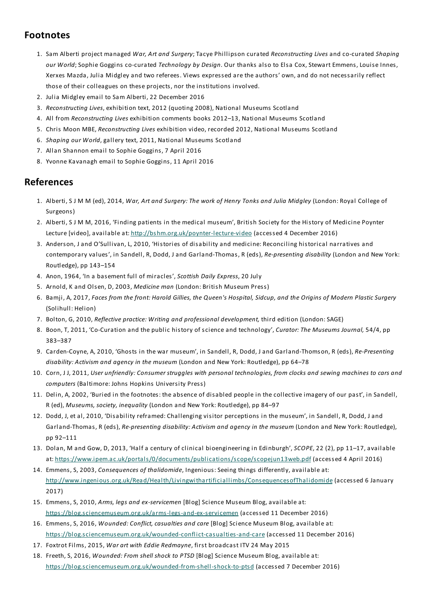# **Footnotes**

- 1. Sam Alberti project managed *War, Art and Surgery*;Tacye Phillipson curated *Reconstructing Lives* and co-curated *Shaping our World*; Sophie Goggins co-curated *Technology by Design*. Our thanks also to Elsa Cox, Stewart Emmens, Louise Innes, Xerxes Mazda, Julia Midgley and two referees. Views expressed are the authors' own, and do not necessarily reflect those of their colleagues on these projects, nor the institutions involved.
- 2. Julia Midgley email to Sam Alberti, 22 December 2016
- 3. *Reconstructing Lives*, exhibition text, 2012 (quoting 2008), National Museums Scotland
- 4. All from *Reconstructing Lives* exhibition comments books 2012–13, National Museums Scotland
- 5. Chris Moon MBE, *Reconstructing Lives* exhibition video, recorded 2012, National Museums Scotland
- 6. *Shaping our World*, gallery text, 2011, National Museums Scotland
- 7. Allan Shannon email to Sophie Goggins, 7 April 2016
- 8. Yvonne Kavanagh email to Sophie Goggins, 11 April 2016

# **References**

- 1. Alberti, S J M M (ed), 2014, *War, Art and Surgery:The work of Henry Tonks and Julia Midgley* (London: Royal College of Surgeons)
- 2. Alberti, S J M M, 2016, 'Finding patients in the medical museum', British Society for the History of Medicine Poynter Lecture [video], available at: http://bshm.org.uk/poynter-lecture-video (accessed 4 December 2016)
- 3. Anderson, J and O'Sullivan, L, 2010, 'Histories of disability and medicine: Reconciling historical narratives and contemporary values', in Sandell, R, Dodd, J and Garland-Thomas, R (eds), *Re-presenting disability* (London and New York: Routledge), pp 143–154
- 4. Anon, 1964, 'In a basement full of miracles', *Scottish Daily Express*, 20 July
- 5. Arnold, K and Olsen, D, 2003, *Medicine man* (London: British Museum Press)
- 6. Bamji, A, 2017, Faces from the front: Harold Gillies, the Queen's Hospital, Sidcup, and the Origins of Modern Plastic Surgery (Solihull: Helion)
- 7. Bolton, G, 2010, *Reflective practice: Writing and professional development,* third edition (London:SAGE)
- 8. Boon,T, 2011, 'Co-Curation and the public history of science and technology', *Curator:The Museums Journal,* 54/4, pp 383–387
- 9. Carden-Coyne, A, 2010, 'Ghosts in the war museum', in Sandell, R, Dodd, J and Garland-Thomson, R (eds), *Re-Presenting disability: Activism and agency in the museum* (London and New York: Routledge), pp 64–78
- 10. Corn, J J, 2011, User unfriendly: Consumer struggles with personal technologies, from clocks and sewing machines to cars and *computers* (Baltimore: Johns Hopkins University Press)
- 11. Delin, A, 2002, 'Buried in the footnotes: the absence of disabled people in the collective imagery of our past', in Sandell, R (ed), *Museums, society, inequality* (London and New York: Routledge), pp 84–97
- 12. Dodd, J, et al, 2010, 'Disability reframed: Challenging visitor perceptions in the museum', in Sandell, R, Dodd, J and Garland-Thomas, R (eds), *Re-presenting disability: Activism and agency in the museum* (London and New York: Routledge), pp 92–111
- 13. Dolan, M and Gow, D, 2013, 'Half a century of clinical bioengineering in Edinburgh', *SCOPE*, 22 (2), pp 11–17, available at: https://www.ipem.ac.uk/portals/0/documents/publications/scope/scopejun13web.pdf (accessed 4 April 2016)
- 14. Emmens, S, 2003, *Consequences of thalidomide*, Ingenious:Seeing things differently, available at: http://www.ingenious.org.uk/Read/Health/Livingwithartificiallimbs/ConsequencesofThalidomide (accessed 6 January 2017)
- 15. Emmens, S, 2010, *Arms, legs and ex-servicemen* [Blog] Science Museum Blog, available at: https://blog.sciencemuseum.org.uk/arms-legs-and-ex-servicemen (accessed 11 December 2016)
- 16. Emmens, S, 2016, *Wounded: Conflict, casualties and care* [Blog] Science Museum Blog, available at: https://blog.sciencemuseum.org.uk/wounded-conflict-casualties-and-care (accessed 11 December 2016)
- 17. Foxtrot Films, 2015, *War art with Eddie Redmayne*, first broadcast ITV 24 May 2015
- 18. Freeth, S, 2016, *Wounded:From shell shock to PTSD* [Blog] Science Museum Blog, available at: https://blog.sciencemuseum.org.uk/wounded-from-shell-shock-to-ptsd (accessed 7 December 2016)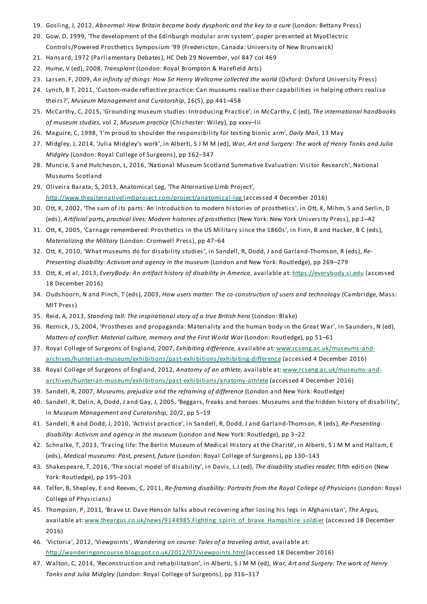- 19. Gosling, J, 2012, *Abnormal: How Britain became body dysphoric and the key to a cure* (London: Bettany Press)
- 20. Gow, D, 1999, 'The development of the Edinburgh modular arm system', paper presented at MyoElectric Controls/Powered Prosthetics Symposium '99 (Fredericton, Canada: University of New Brunswick)
- 21. Hansard, 1972 (Parliamentary Debates), HC Deb 29 November, vol 847 col 469
- 22. Hume, V (ed), 2008,*Transplant* (London: Royal Brompton & Harefield Arts)
- 23. Larsen, F, 2009, *An infinity of things: How Sir Henry Wellcome collected the world* (Oxford: Oxford University Press)
- 24. Lynch, B T, 2011, 'Custom-made reflective practice: Can museums realise their capabilities in helping others realise theirs?', *Museum Management and Curatorship*, 26(5), pp 441–458
- 25. McCarthy, C, 2015, 'Grounding museum studies: Introducing Practice', in McCarthy, C (ed),*The international handbooks of museum studies,* vol 2, *Museum practice* (Chichester: Wiley), pp xxxv–lii
- 26. Maguire, C, 1998, 'I'm proud to shoulder the responsibility for testing bionic arm', *Daily Mail*, 13 May
- 27. Midgley, J, 2014, 'Julia Midgley's work', in Alberti, S J M M (ed), *War, Art and Surgery:The work of Henry Tonks and Julia Midgley* (London: Royal College of Surgeons), pp 162–347
- 28. Muncie, S and Hutcheson, L, 2016, 'National Museum Scotland Summative Evaluation: Visitor Research', National Museums Scotland
- 29. Oliveira Barata, S, 2013, Anatomical Leg, 'The Alternative Limb Project', http://www.thealternativelimbproject.com/project/anatomical-leg (accessed 4 December 2016)
- 30. Ott, K, 2002, 'The sum of its parts: An introduction to modern histories of prosthetics', in Ott, K, Mihm, S and Serlin, D (eds), *Artificial parts, practical lives: Modern histories of prosthetics* (New York: New York University Press), pp 1–42
- 31. Ott, K, 2005, 'Carnage remembered: Prosthetics in the US Military since the 1860s', in Finn, B and Hacker, B C (eds), *Materializing the Military* (London: Cromwell Press), pp 47–64
- 32. Ott, K, 2010, 'What museums do for disability studies', in Sandell, R, Dodd, J and Garland-Thomson, R (eds), *Re-Presenting disability: Activism and agency in the museum* (London and New York: Routledge), pp 269–279
- 33. Ott, K, et al, 2013,*EveryBody: An artifact history of disability in America*, available at: https://everybody.si.edu (accessed 18 December 2016)
- 34. Oudshoorn, N and Pinch,T (eds), 2003, *How users matter:The co-construction of users and technology* (Cambridge, Mass: MIT Press)
- 35. Reid, A, 2013, *Standing tall:The inspirational story of a true British hero* (London: Blake)
- 36. Reznick, J S, 2004, 'Prostheses and propaganda: Materiality and the human body in the Great War', in Saunders, N (ed), *Matters of conflict: Material culture, memory and the First World War* (London: Routledge)*,* pp 51–61
- 37. Royal College of Surgeons of England, 2007,*Exhibiting difference,* available at: www.rcseng.ac.uk/museums-andarchives/hunterian-museum/exhibitions/past-exhibitions/exhibiting-difference (accessed 4 December 2016)
- 38. Royal College of Surgeons of England, 2012, *Anatomy of an athlete,* available at: www.rcseng.ac.uk/museums-andarchives/hunterian-museum/exhibitions/past-exhibitions/anatomy-athlete (accessed 4 December 2016)
- 39. Sandell, R, 2007, *Museums, prejudice and the reframing of difference* (London and New York: Routledge)
- 40. Sandell, R, Delin, A, Dodd, J and Gay, J, 2005, 'Beggars, freaks and heroes: Museums and the hidden history of disability', in *Museum Management and Curatorship,* 20/2, pp 5–19
- 41. Sandell, R and Dodd, J, 2010, 'Activist practice', in Sandell, R, Dodd, J and Garland-Thomson, R (eds), *Re-Presenting disability: Activism and agency in the museum* (London and New York: Routledge), pp 3–22
- 42. Schnalke,T, 2013, 'Tracing life:The Berlin Museum of Medical History at the Charité', in Alberti, S J M M and Hallam,E (eds), *Medical museums: Past, present, future* (London: Royal College of Surgeons), pp 130–143
- 43. Shakespeare,T, 2016, 'The social model of disability', in Davis, L J (ed),*The disability studies reader,* fifth edition (New York: Routledge), pp 195–203
- 44. Telfer, B, Shepley,E and Reeves, C, 2011, *Re-framing disability: Portraits from the Royal College of Physicians* (London: Royal College of Physicians)
- 45. Thompson, P, 2011, 'Brave Lt. Dave Henson talks about recovering after losing his legs in Afghanistan',*The Argus,* available at: www.theargus.co.uk/news/9144985.Fighting\_spirit\_of\_brave\_Hampshire\_soldier (accessed 18 December 2016)
- 46. 'Victoria', 2012, 'Viewpoints', *Wandering on course:Tales of a traveling artist*, available at: http://wanderingoncourse.blogspot.co.uk/2012/07/viewpoints.html(accessed 18 December 2016)
- 47. Walton, C, 2014, 'Reconstruction and rehabilitation', in Alberti, S J M M (ed), *War, Art and Surgery:The work of Henry Tonks and Julia Midgley* (London: Royal College of Surgeons), pp 316–317